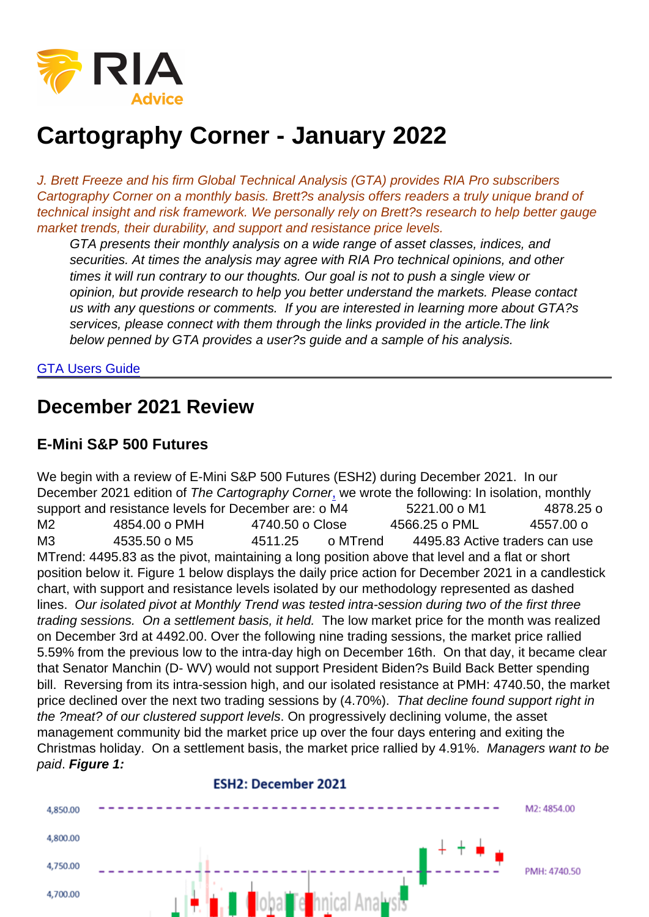# Cartography Corner - January 2022

J. Brett Freeze and his firm Global Technical Analysis (GTA) provides RIA Pro subscribers Cartography Corner on a monthly basis. Brett?s analysis offers readers a truly unique brand of technical insight and risk framework. We personally rely on Brett?s research to help better gauge market trends, their durability, and support and resistance price levels.

GTA presents their monthly analysis on a wide range of asset classes, indices, and securities. At times the analysis may agree with RIA Pro technical opinions, and other times it will run contrary to our thoughts. Our goal is not to push a single view or opinion, but provide research to help you better understand the markets. Please contact us with any questions or comments. If you are interested in learning more about GTA?s services, please connect with them through the links provided in the article.The link below penned by GTA provides a user?s guide and a sample of his analysis.

#### [GTA Users Guide](https://www.scribd.com/document/385310848/GTA-Introduction-RIA-Pro-docx)

### December 2021 Review

#### E-Mini S&P 500 Futures

We begin with a review of E-Mini S&P 500 Futures (ESH2) during December 2021. In our December 2021 edition of The Cartography Corner[,](https://www.720global.com/article/cartography-corner-july-2017-595e6d2d87eac) we wrote the following: In isolation, monthly support and resistance levels for December are: o M4  $\qquad 5221.00$  o M1  $\qquad 4878.25$  o M2 4854.00 o PMH 4740.50 o Close 4566.25 o PML 4557.00 o M3 4535.50 o M5 4511.25 o MTrend 4495.83 Active traders can use MTrend: 4495.83 as the pivot, maintaining a long position above that level and a flat or short position below it. Figure 1 below displays the daily price action for December 2021 in a candlestick chart, with support and resistance levels isolated by our methodology represented as dashed lines. Our isolated pivot at Monthly Trend was tested intra-session during two of the first three trading sessions. On a settlement basis, it held. The low market price for the month was realized on December 3rd at 4492.00. Over the following nine trading sessions, the market price rallied 5.59% from the previous low to the intra-day high on December 16th. On that day, it became clear that Senator Manchin (D- WV) would not support President Biden?s Build Back Better spending bill. Reversing from its intra-session high, and our isolated resistance at PMH: 4740.50, the market price declined over the next two trading sessions by (4.70%). That decline found support right in the ?meat? of our clustered support levels. On progressively declining volume, the asset management community bid the market price up over the four days entering and exiting the Christmas holiday. On a settlement basis, the market price rallied by 4.91%. Managers want to be paid. Figure 1: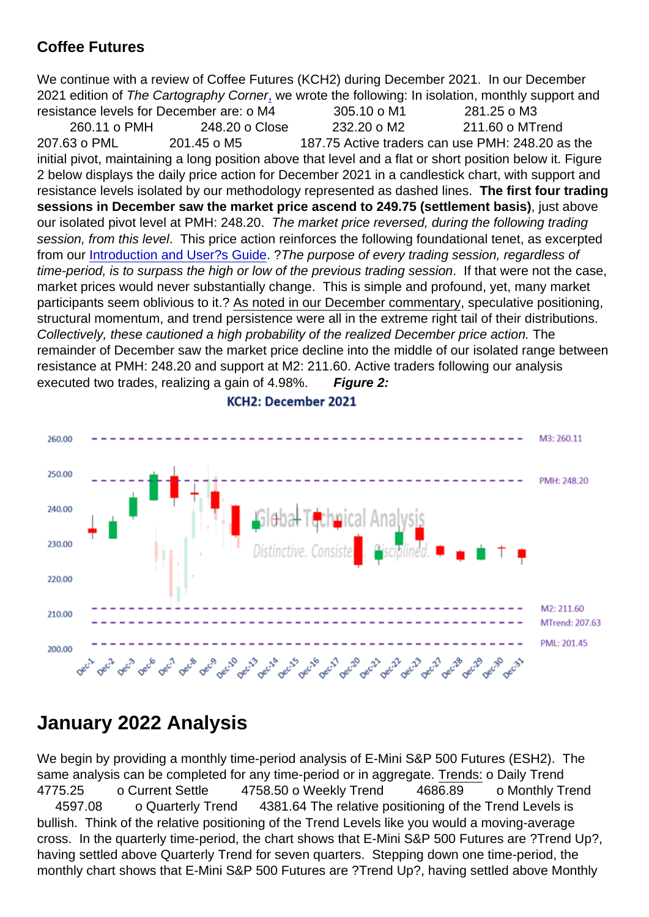#### Coffee Futures

We continue with a review of Coffee Futures (KCH2) during December 2021. In our December 2021 edition of The Cartography Corne[r,](https://www.720global.com/article/cartography-corner-july-2017-595e6d2d87eac) we wrote the following: In isolation, monthly support and resistance levels for December are: o M4 305.10 o M1 281.25 o M3 260.11 o PMH 248.20 o Close 232.20 o M2 211.60 o MTrend 207.63 o PML 201.45 o M5 187.75 Active traders can use PMH: 248.20 as the initial pivot, maintaining a long position above that level and a flat or short position below it. Figure 2 below displays the daily price action for December 2021 in a candlestick chart, with support and resistance levels isolated by our methodology represented as dashed lines. The first four trading sessions in December saw the market price ascend to 249.75 (settlement basis) ; just above our isolated pivot level at PMH: 248.20. The market price reversed, during the following trading session, from this level. This price action reinforces the following foundational tenet, as excerpted from our [Introduction and User?s Guide.](https://1drv.ms/b/s!ApS0mx9LLJjQjExkSN0TP7IE9RLe?e=5XeT8r) ?The purpose of every trading session, regardless of time-period, is to surpass the high or low of the previous trading session. If that were not the case, market prices would never substantially change. This is simple and profound, yet, many market participants seem oblivious to it.? As noted in our December commentary, speculative positioning, structural momentum, and trend persistence were all in the extreme right tail of their distributions. Collectively, these cautioned a high probability of the realized December price action. The remainder of December saw the market price decline into the middle of our isolated range between resistance at PMH: 248.20 and support at M2: 211.60. Active traders following our analysis executed two trades, realizing a gain of 4.98%. Figure 2:

## January 2022 Analysis

We begin by providing a monthly time-period analysis of E-Mini S&P 500 Futures (ESH2). The same analysis can be completed for any time-period or in aggregate. Trends: o Daily Trend 4775.25 o Current Settle 4758.50 o Weekly Trend 4686.89 o Monthly Trend 4597.08 o Quarterly Trend 4381.64 The relative positioning of the Trend Levels is bullish. Think of the relative positioning of the Trend Levels like you would a moving-average cross. In the quarterly time-period, the chart shows that E-Mini S&P 500 Futures are ?Trend Up?, having settled above Quarterly Trend for seven quarters. Stepping down one time-period, the monthly chart shows that E-Mini S&P 500 Futures are ?Trend Up?, having settled above Monthly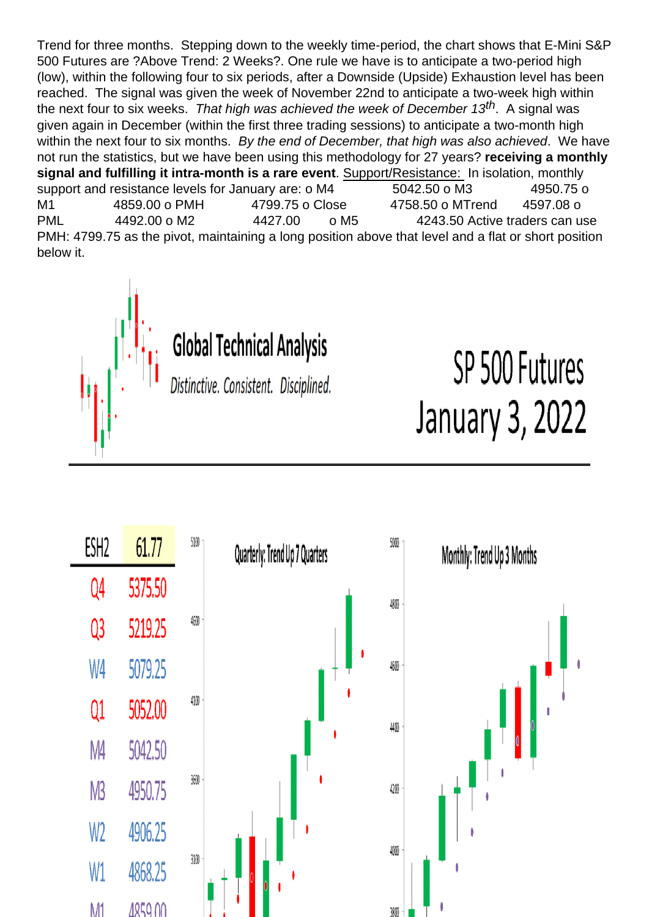Trend for three months. Stepping down to the weekly time-period, the chart shows that E-Mini S&P 500 Futures are ?Above Trend: 2 Weeks?. One rule we have is to anticipate a two-period high (low), within the following four to six periods, after a Downside (Upside) Exhaustion level has been reached. The signal was given the week of November 22nd to anticipate a two-week high within the next four to six weeks. That high was achieved the week of December 13<sup>th</sup>. A signal was given again in December (within the first three trading sessions) to anticipate a two-month high within the next four to six months. By the end of December, that high was also achieved. We have not run the statistics, but we have been using this methodology for 27 years? receiving a monthly signal and fulfilling it intra-month is a rare event . Support/Resistance: In isolation, monthly support and resistance levels for January are: o M4 5042.50 o M3 4950.75 o M1 4859.00 o PMH 4799.75 o Close 4758.50 o MTrend 4597.08 o PML 4492.00 o M2 4427.00 o M5 4243.50 Active traders can use PMH: 4799.75 as the pivot, maintaining a long position above that level and a flat or short position below it.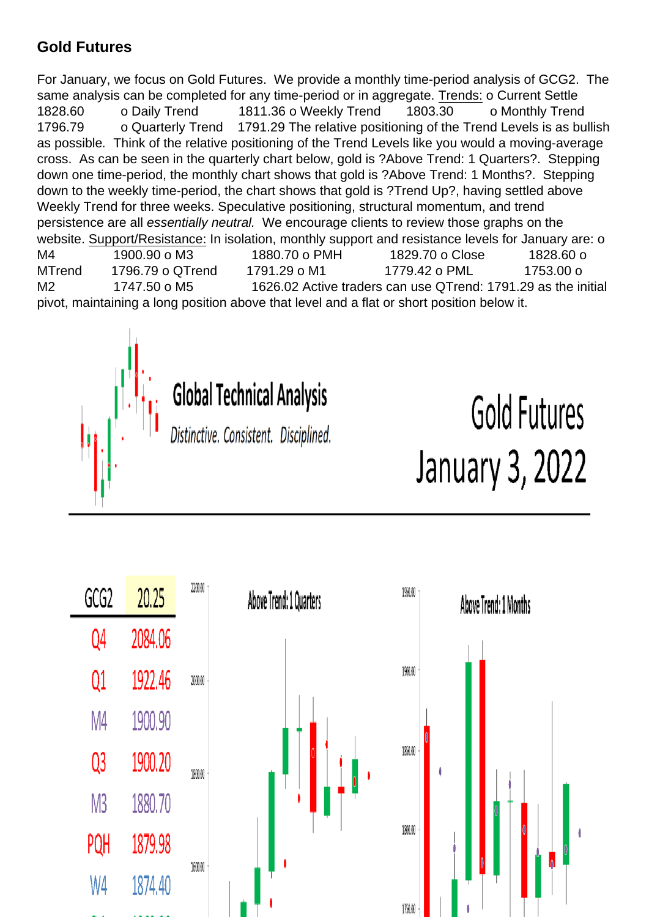#### Gold Futures

For January, we focus on Gold Futures. We provide a monthly time-period analysis of GCG2. The same analysis can be completed for any time-period or in aggregate. Trends: o Current Settle 1828.60 o Daily Trend 1811.36 o Weekly Trend 1803.30 o Monthly Trend 1796.79 o Quarterly Trend 1791.29 The relative positioning of the Trend Levels is as bullish as possible. Think of the relative positioning of the Trend Levels like you would a moving-average cross. As can be seen in the quarterly chart below, gold is ?Above Trend: 1 Quarters?. Stepping down one time-period, the monthly chart shows that gold is ?Above Trend: 1 Months?. Stepping down to the weekly time-period, the chart shows that gold is ?Trend Up?, having settled above Weekly Trend for three weeks. Speculative positioning, structural momentum, and trend persistence are all essentially neutral. We encourage clients to review those graphs on the website. Support/Resistance: In isolation, monthly support and resistance levels for January are: o M4 1900.90 o M3 1880.70 o PMH 1829.70 o Close 1828.60 o MTrend 1796.79 o QTrend 1791.29 o M1 1779.42 o PML 1753.00 o M2 1747.50 o M5 1626.02 Active traders can use QTrend: 1791.29 as the initial pivot, maintaining a long position above that level and a flat or short position below it.